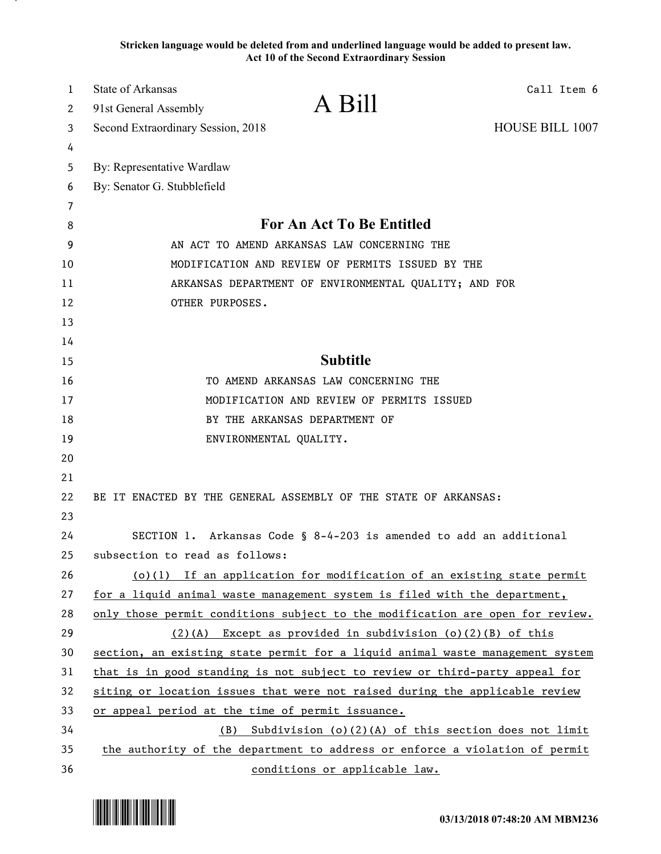**Stricken language would be deleted from and underlined language would be added to present law. Act 10 of the Second Extraordinary Session**

| $\mathbf{1}$ | <b>State of Arkansas</b>                                                      |                                                                 | Call Item 6            |
|--------------|-------------------------------------------------------------------------------|-----------------------------------------------------------------|------------------------|
| 2            | 91st General Assembly                                                         | A Bill                                                          |                        |
| 3            | Second Extraordinary Session, 2018                                            |                                                                 | <b>HOUSE BILL 1007</b> |
| 4            |                                                                               |                                                                 |                        |
| 5            | By: Representative Wardlaw                                                    |                                                                 |                        |
| 6            | By: Senator G. Stubblefield                                                   |                                                                 |                        |
| 7            |                                                                               |                                                                 |                        |
| 8            | For An Act To Be Entitled                                                     |                                                                 |                        |
| 9            | AN ACT TO AMEND ARKANSAS LAW CONCERNING THE                                   |                                                                 |                        |
| 10           | MODIFICATION AND REVIEW OF PERMITS ISSUED BY THE                              |                                                                 |                        |
| 11           | ARKANSAS DEPARTMENT OF ENVIRONMENTAL QUALITY; AND FOR                         |                                                                 |                        |
| 12           | OTHER PURPOSES.                                                               |                                                                 |                        |
| 13           |                                                                               |                                                                 |                        |
| 14           |                                                                               |                                                                 |                        |
| 15           | <b>Subtitle</b>                                                               |                                                                 |                        |
| 16           | TO AMEND ARKANSAS LAW CONCERNING THE                                          |                                                                 |                        |
| 17           | MODIFICATION AND REVIEW OF PERMITS ISSUED                                     |                                                                 |                        |
| 18           | BY THE ARKANSAS DEPARTMENT OF                                                 |                                                                 |                        |
| 19           |                                                                               | ENVIRONMENTAL QUALITY.                                          |                        |
| 20           |                                                                               |                                                                 |                        |
| 21           |                                                                               |                                                                 |                        |
| 22           |                                                                               | BE IT ENACTED BY THE GENERAL ASSEMBLY OF THE STATE OF ARKANSAS: |                        |
| 23           |                                                                               |                                                                 |                        |
| 24           | SECTION 1. Arkansas Code § 8-4-203 is amended to add an additional            |                                                                 |                        |
| 25           | subsection to read as follows:                                                |                                                                 |                        |
| 26           | $(o)(1)$ If an application for modification of an existing state permit       |                                                                 |                        |
| 27           | for a liquid animal waste management system is filed with the department,     |                                                                 |                        |
| 28           | only those permit conditions subject to the modification are open for review. |                                                                 |                        |
| 29           | (2)(A) Except as provided in subdivision (o)(2)(B) of this                    |                                                                 |                        |
| 30           | section, an existing state permit for a liquid animal waste management system |                                                                 |                        |
| 31           | that is in good standing is not subject to review or third-party appeal for   |                                                                 |                        |
| 32           | siting or location issues that were not raised during the applicable review   |                                                                 |                        |
| 33           | or appeal period at the time of permit issuance.                              |                                                                 |                        |
| 34           | Subdivision (o)(2)(A) of this section does not limit<br>(B)                   |                                                                 |                        |
| 35           | the authority of the department to address or enforce a violation of permit   |                                                                 |                        |
| 36           | conditions or applicable law.                                                 |                                                                 |                        |